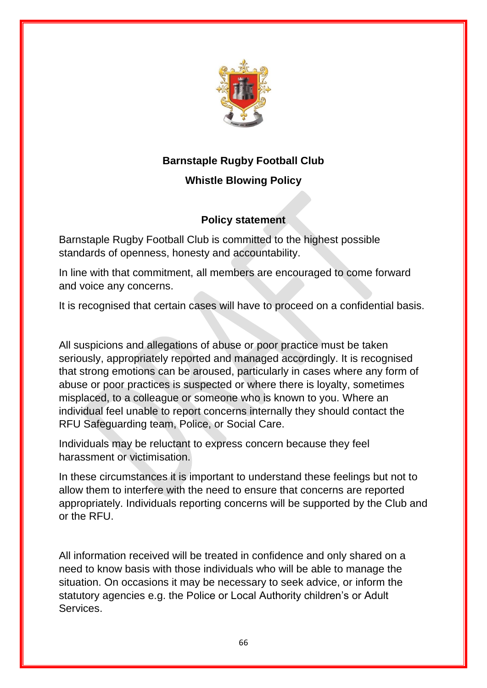

## **Barnstaple Rugby Football Club**

## **Whistle Blowing Policy**

## **Policy statement**

Barnstaple Rugby Football Club is committed to the highest possible standards of openness, honesty and accountability.

In line with that commitment, all members are encouraged to come forward and voice any concerns.

It is recognised that certain cases will have to proceed on a confidential basis.

All suspicions and allegations of abuse or poor practice must be taken seriously, appropriately reported and managed accordingly. It is recognised that strong emotions can be aroused, particularly in cases where any form of abuse or poor practices is suspected or where there is loyalty, sometimes misplaced, to a colleague or someone who is known to you. Where an individual feel unable to report concerns internally they should contact the RFU Safeguarding team, Police, or Social Care.

Individuals may be reluctant to express concern because they feel harassment or victimisation.

In these circumstances it is important to understand these feelings but not to allow them to interfere with the need to ensure that concerns are reported appropriately. Individuals reporting concerns will be supported by the Club and or the RFU.

All information received will be treated in confidence and only shared on a need to know basis with those individuals who will be able to manage the situation. On occasions it may be necessary to seek advice, or inform the statutory agencies e.g. the Police or Local Authority children's or Adult **Services**